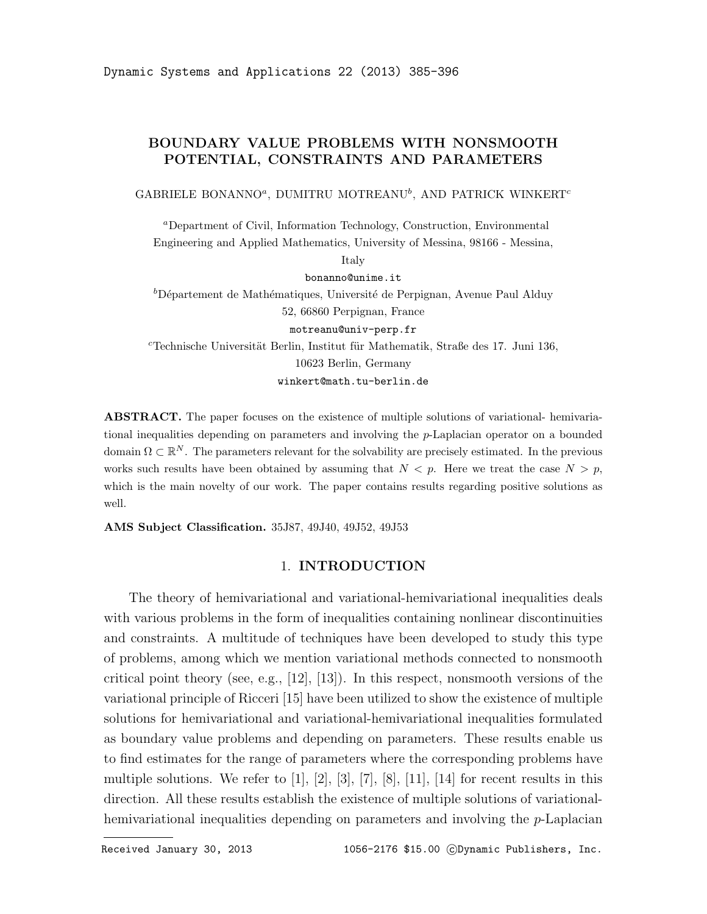# BOUNDARY VALUE PROBLEMS WITH NONSMOOTH POTENTIAL, CONSTRAINTS AND PARAMETERS

GABRIELE BONANNO<sup>a</sup>, DUMITRU MOTREANU<sup>b</sup>, AND PATRICK WINKERT<sup>c</sup>

<sup>a</sup>Department of Civil, Information Technology, Construction, Environmental Engineering and Applied Mathematics, University of Messina, 98166 - Messina,

Italy

bonanno@unime.it

 ${}^b$ Département de Mathématiques, Université de Perpignan, Avenue Paul Alduy 52, 66860 Perpignan, France

motreanu@univ-perp.fr

 $c$ Technische Universität Berlin, Institut für Mathematik, Straße des 17. Juni 136, 10623 Berlin, Germany winkert@math.tu-berlin.de

ABSTRACT. The paper focuses on the existence of multiple solutions of variational- hemivariational inequalities depending on parameters and involving the  $p$ -Laplacian operator on a bounded domain  $\Omega \subset \mathbb{R}^N$ . The parameters relevant for the solvability are precisely estimated. In the previous works such results have been obtained by assuming that  $N < p$ . Here we treat the case  $N > p$ , which is the main novelty of our work. The paper contains results regarding positive solutions as well.

AMS Subject Classification. 35J87, 49J40, 49J52, 49J53

### 1. INTRODUCTION

The theory of hemivariational and variational-hemivariational inequalities deals with various problems in the form of inequalities containing nonlinear discontinuities and constraints. A multitude of techniques have been developed to study this type of problems, among which we mention variational methods connected to nonsmooth critical point theory (see, e.g., [12], [13]). In this respect, nonsmooth versions of the variational principle of Ricceri [15] have been utilized to show the existence of multiple solutions for hemivariational and variational-hemivariational inequalities formulated as boundary value problems and depending on parameters. These results enable us to find estimates for the range of parameters where the corresponding problems have multiple solutions. We refer to  $\begin{bmatrix} 1 \end{bmatrix}$ ,  $\begin{bmatrix} 2 \end{bmatrix}$ ,  $\begin{bmatrix} 3 \end{bmatrix}$ ,  $\begin{bmatrix} 7 \end{bmatrix}$ ,  $\begin{bmatrix} 8 \end{bmatrix}$ ,  $\begin{bmatrix} 11 \end{bmatrix}$ ,  $\begin{bmatrix} 14 \end{bmatrix}$  for recent results in this direction. All these results establish the existence of multiple solutions of variationalhemivariational inequalities depending on parameters and involving the p-Laplacian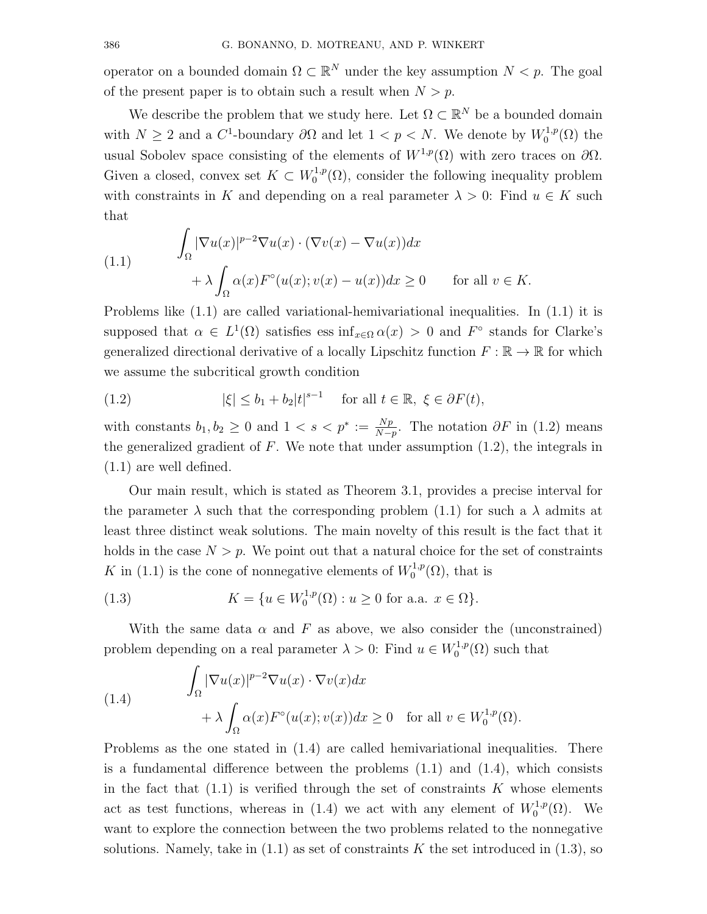operator on a bounded domain  $\Omega \subset \mathbb{R}^N$  under the key assumption  $N < p$ . The goal of the present paper is to obtain such a result when  $N > p$ .

We describe the problem that we study here. Let  $\Omega \subset \mathbb{R}^N$  be a bounded domain with  $N \geq 2$  and a C<sup>1</sup>-boundary  $\partial\Omega$  and let  $1 < p < N$ . We denote by  $W_0^{1,p}$  $\mathfrak{c}_0^{1,p}(\Omega)$  the usual Sobolev space consisting of the elements of  $W^{1,p}(\Omega)$  with zero traces on  $\partial\Omega$ . Given a closed, convex set  $K \subset W_0^{1,p}$  $0^{(1,p)}(0)$ , consider the following inequality problem with constraints in K and depending on a real parameter  $\lambda > 0$ : Find  $u \in K$  such that

(1.1) 
$$
\int_{\Omega} |\nabla u(x)|^{p-2} \nabla u(x) \cdot (\nabla v(x) - \nabla u(x)) dx + \lambda \int_{\Omega} \alpha(x) F^{\circ}(u(x); v(x) - u(x)) dx \ge 0 \quad \text{for all } v \in K.
$$

Problems like (1.1) are called variational-hemivariational inequalities. In (1.1) it is supposed that  $\alpha \in L^1(\Omega)$  satisfies ess  $\inf_{x \in \Omega} \alpha(x) > 0$  and  $F^{\circ}$  stands for Clarke's generalized directional derivative of a locally Lipschitz function  $F : \mathbb{R} \to \mathbb{R}$  for which we assume the subcritical growth condition

(1.2) 
$$
|\xi| \le b_1 + b_2 |t|^{s-1} \quad \text{for all } t \in \mathbb{R}, \ \xi \in \partial F(t),
$$

with constants  $b_1, b_2 \geq 0$  and  $1 < s < p^* := \frac{Np}{N-p}$  $\frac{Np}{N-p}$ . The notation  $\partial F$  in (1.2) means the generalized gradient of  $F$ . We note that under assumption  $(1.2)$ , the integrals in (1.1) are well defined.

Our main result, which is stated as Theorem 3.1, provides a precise interval for the parameter  $\lambda$  such that the corresponding problem (1.1) for such a  $\lambda$  admits at least three distinct weak solutions. The main novelty of this result is the fact that it holds in the case  $N > p$ . We point out that a natural choice for the set of constraints K in (1.1) is the cone of nonnegative elements of  $W_0^{1,p}$  $\mathfrak{g}_0^{1,p}(\Omega)$ , that is

(1.3) 
$$
K = \{ u \in W_0^{1,p}(\Omega) : u \ge 0 \text{ for a.a. } x \in \Omega \}.
$$

With the same data  $\alpha$  and F as above, we also consider the (unconstrained) problem depending on a real parameter  $\lambda > 0$ : Find  $u \in W_0^{1,p}$  $C^{1,p}_0(\Omega)$  such that

(1.4) 
$$
\int_{\Omega} |\nabla u(x)|^{p-2} \nabla u(x) \cdot \nabla v(x) dx + \lambda \int_{\Omega} \alpha(x) F^{\circ}(u(x); v(x)) dx \ge 0 \text{ for all } v \in W_0^{1,p}(\Omega).
$$

Problems as the one stated in (1.4) are called hemivariational inequalities. There is a fundamental difference between the problems  $(1.1)$  and  $(1.4)$ , which consists in the fact that  $(1.1)$  is verified through the set of constraints K whose elements act as test functions, whereas in (1.4) we act with any element of  $W_0^{1,p}$  $_{0}^{\prime 1,p}(\Omega)$ . We want to explore the connection between the two problems related to the nonnegative solutions. Namely, take in  $(1.1)$  as set of constraints K the set introduced in  $(1.3)$ , so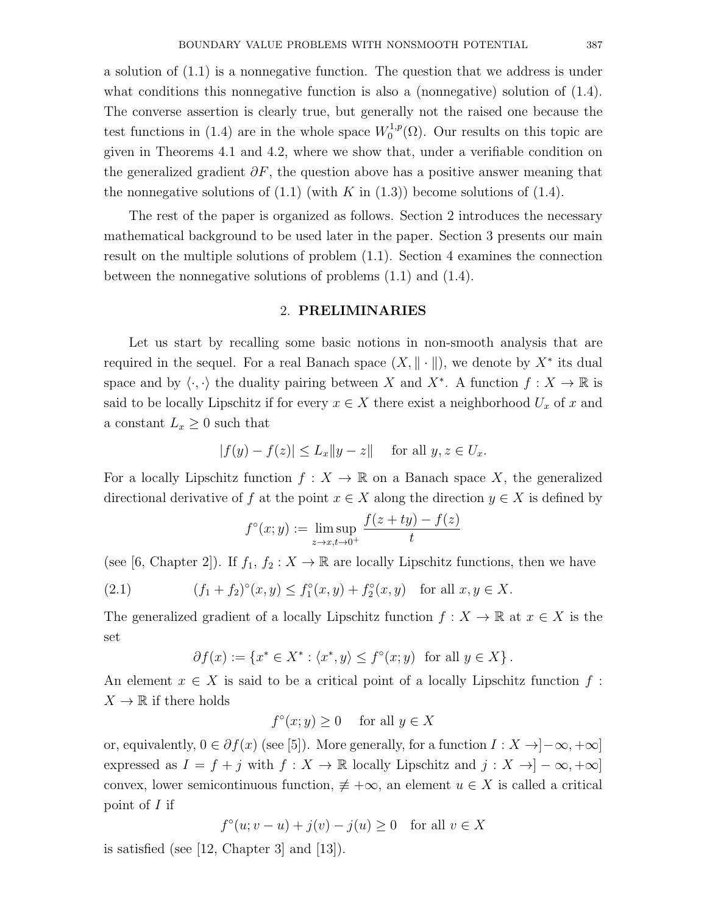a solution of (1.1) is a nonnegative function. The question that we address is under what conditions this nonnegative function is also a (nonnegative) solution of (1.4). The converse assertion is clearly true, but generally not the raised one because the test functions in (1.4) are in the whole space  $W_0^{1,p}$  $_{0}^{\text{1,p}}(\Omega)$ . Our results on this topic are given in Theorems 4.1 and 4.2, where we show that, under a verifiable condition on the generalized gradient  $\partial F$ , the question above has a positive answer meaning that the nonnegative solutions of  $(1.1)$  (with K in  $(1.3)$ ) become solutions of  $(1.4)$ .

The rest of the paper is organized as follows. Section 2 introduces the necessary mathematical background to be used later in the paper. Section 3 presents our main result on the multiple solutions of problem (1.1). Section 4 examines the connection between the nonnegative solutions of problems (1.1) and (1.4).

## 2. PRELIMINARIES

Let us start by recalling some basic notions in non-smooth analysis that are required in the sequel. For a real Banach space  $(X, \|\cdot\|)$ , we denote by  $X^*$  its dual space and by  $\langle \cdot, \cdot \rangle$  the duality pairing between X and  $X^*$ . A function  $f : X \to \mathbb{R}$  is said to be locally Lipschitz if for every  $x \in X$  there exist a neighborhood  $U_x$  of x and a constant  $L_x \geq 0$  such that

$$
|f(y) - f(z)| \le L_x \|y - z\| \quad \text{for all } y, z \in U_x.
$$

For a locally Lipschitz function  $f: X \to \mathbb{R}$  on a Banach space X, the generalized directional derivative of f at the point  $x \in X$  along the direction  $y \in X$  is defined by

$$
f^{\circ}(x; y) := \limsup_{z \to x, t \to 0^{+}} \frac{f(z + ty) - f(z)}{t}
$$

(see [6, Chapter 2]). If  $f_1, f_2 : X \to \mathbb{R}$  are locally Lipschitz functions, then we have

(2.1) 
$$
(f_1 + f_2)^{\circ}(x, y) \le f_1^{\circ}(x, y) + f_2^{\circ}(x, y) \text{ for all } x, y \in X.
$$

The generalized gradient of a locally Lipschitz function  $f: X \to \mathbb{R}$  at  $x \in X$  is the set

$$
\partial f(x) := \{ x^* \in X^* : \langle x^*, y \rangle \le f^\circ(x; y) \text{ for all } y \in X \}.
$$

An element  $x \in X$  is said to be a critical point of a locally Lipschitz function f:  $X \to \mathbb{R}$  if there holds

$$
f^{\circ}(x; y) \ge 0 \quad \text{ for all } y \in X
$$

or, equivalently,  $0 \in \partial f(x)$  (see [5]). More generally, for a function  $I : X \to ]-\infty, +\infty]$ expressed as  $I = f + j$  with  $f : X \to \mathbb{R}$  locally Lipschitz and  $j : X \to ]-\infty, +\infty]$ convex, lower semicontinuous function,  $\not\equiv +\infty$ , an element  $u \in X$  is called a critical point of  $I$  if

$$
f^{\circ}(u; v - u) + j(v) - j(u) \ge 0 \quad \text{for all } v \in X
$$

is satisfied (see [12, Chapter 3] and [13]).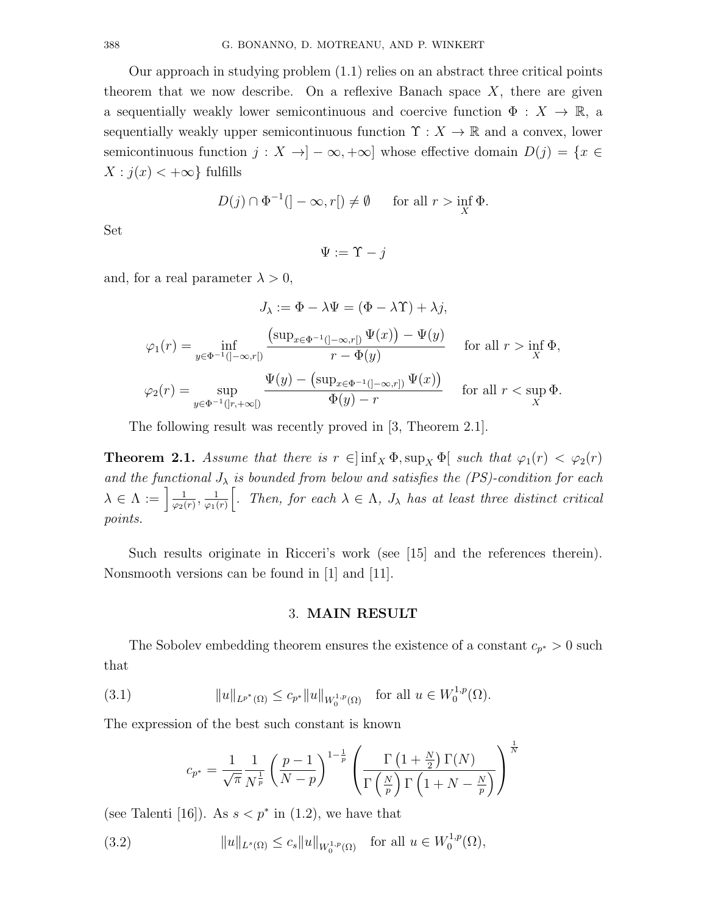Our approach in studying problem (1.1) relies on an abstract three critical points theorem that we now describe. On a reflexive Banach space  $X$ , there are given a sequentially weakly lower semicontinuous and coercive function  $\Phi: X \to \mathbb{R}$ , a sequentially weakly upper semicontinuous function  $\Upsilon : X \to \mathbb{R}$  and a convex, lower semicontinuous function  $j: X \to ]-\infty, +\infty]$  whose effective domain  $D(j) = \{x \in$  $X : j(x) < +\infty$  fulfills

$$
D(j) \cap \Phi^{-1}(]-\infty, r[) \neq \emptyset \quad \text{for all } r > \inf_{X} \Phi.
$$

Set

 $\Psi := \Upsilon - i$ 

and, for a real parameter  $\lambda > 0$ ,

$$
J_{\lambda} := \Phi - \lambda \Psi = (\Phi - \lambda \Upsilon) + \lambda j,
$$
  

$$
\varphi_1(r) = \inf_{y \in \Phi^{-1}(]-\infty, r[)} \frac{(\sup_{x \in \Phi^{-1}(]-\infty, r[)} \Psi(x)) - \Psi(y)}{r - \Phi(y)} \quad \text{for all } r > \inf_{X} \Phi,
$$
  

$$
\varphi_2(r) = \sup_{y \in \Phi^{-1}(]-r, +\infty[)} \frac{\Psi(y) - (\sup_{x \in \Phi^{-1}(]-\infty, r[)} \Psi(x))}{\Phi(y) - r} \quad \text{for all } r < \sup_{X} \Phi.
$$

The following result was recently proved in [3, Theorem 2.1].

**Theorem 2.1.** Assume that there is  $r \in ]\inf_X \Phi$ ,  $\sup_X \Phi[$  such that  $\varphi_1(r) < \varphi_2(r)$ and the functional  $J_{\lambda}$  is bounded from below and satisfies the (PS)-condition for each  $\lambda \in \Lambda := \frac{1}{\log 4}$  $\frac{1}{\varphi_2(r)}, \frac{1}{\varphi_1(r)}$  $\varphi_1(r)$ [. Then, for each  $\lambda \in \Lambda$ ,  $J_{\lambda}$  has at least three distinct critical points.

Such results originate in Ricceri's work (see [15] and the references therein). Nonsmooth versions can be found in [1] and [11].

#### 3. MAIN RESULT

The Sobolev embedding theorem ensures the existence of a constant  $c_{p^*} > 0$  such that

(3.1) 
$$
||u||_{L^{p^*}(\Omega)} \leq c_{p^*}||u||_{W_0^{1,p}(\Omega)} \text{ for all } u \in W_0^{1,p}(\Omega).
$$

The expression of the best such constant is known

$$
c_{p^*} = \frac{1}{\sqrt{\pi}} \frac{1}{N^{\frac{1}{p}}} \left(\frac{p-1}{N-p}\right)^{1-\frac{1}{p}} \left(\frac{\Gamma\left(1+\frac{N}{2}\right)\Gamma(N)}{\Gamma\left(\frac{N}{p}\right)\Gamma\left(1+N-\frac{N}{p}\right)}\right)^{\frac{1}{N}}
$$

(see Talenti [16]). As  $s < p^*$  in (1.2), we have that

(3.2) 
$$
||u||_{L^{s}(\Omega)} \leq c_s ||u||_{W_0^{1,p}(\Omega)} \text{ for all } u \in W_0^{1,p}(\Omega),
$$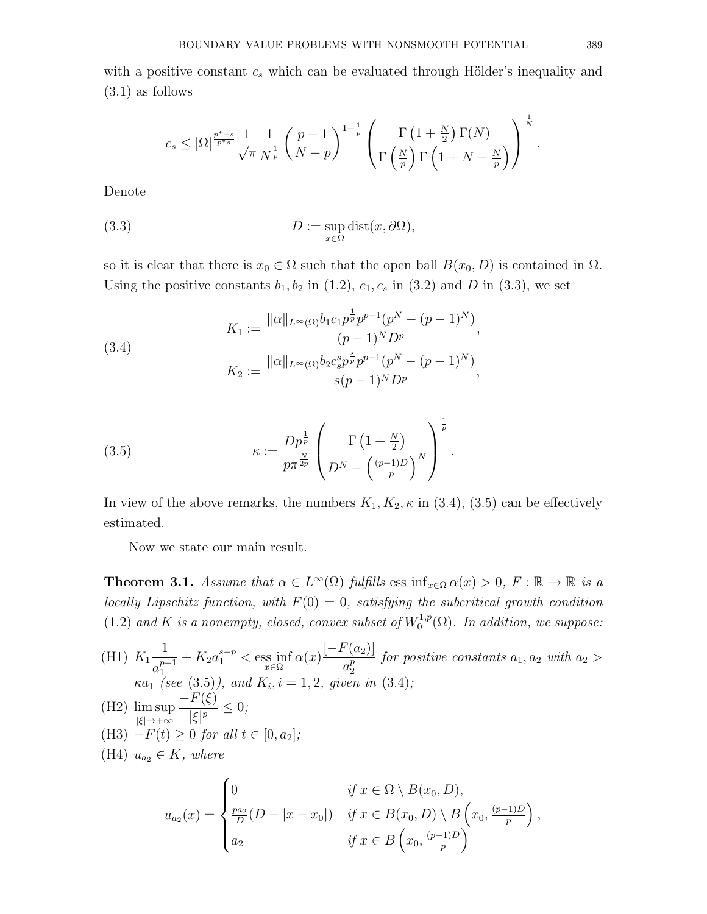with a positive constant  $c_s$  which can be evaluated through Hölder's inequality and (3.1) as follows

$$
c_s \leq |\Omega|^{\frac{p^*-s}{p^*s}} \frac{1}{\sqrt{\pi}} \frac{1}{N^{\frac{1}{p}}} \left(\frac{p-1}{N-p}\right)^{1-\frac{1}{p}} \left(\frac{\Gamma\left(1+\frac{N}{2}\right)\Gamma(N)}{\Gamma\left(\frac{N}{p}\right)\Gamma\left(1+N-\frac{N}{p}\right)}\right)^{\frac{1}{N}}.
$$

Denote

(3.3) 
$$
D := \sup_{x \in \Omega} \text{dist}(x, \partial \Omega),
$$

so it is clear that there is  $x_0 \in \Omega$  such that the open ball  $B(x_0, D)$  is contained in  $\Omega$ . Using the positive constants  $b_1, b_2$  in (1.2),  $c_1, c_s$  in (3.2) and D in (3.3), we set

(3.4)  

$$
K_1 := \frac{\|\alpha\|_{L^{\infty}(\Omega)} b_1 c_1 p^{\frac{1}{p}} p^{p-1} (p^N - (p-1)^N)}{(p-1)^N D^p},
$$

$$
K_2 := \frac{\|\alpha\|_{L^{\infty}(\Omega)} b_2 c_s^s p^{\frac{s}{p}} p^{p-1} (p^N - (p-1)^N)}{s(p-1)^N D^p},
$$

(3.5) 
$$
\kappa := \frac{Dp^{\frac{1}{p}}}{p\pi^{\frac{N}{2p}}} \left( \frac{\Gamma\left(1 + \frac{N}{2}\right)}{D^N - \left(\frac{(p-1)D}{p}\right)^N} \right)^{\frac{1}{p}}.
$$

In view of the above remarks, the numbers  $K_1, K_2, \kappa$  in (3.4), (3.5) can be effectively estimated.

Now we state our main result.

**Theorem 3.1.** Assume that  $\alpha \in L^{\infty}(\Omega)$  fulfills ess  $\inf_{x \in \Omega} \alpha(x) > 0$ ,  $F : \mathbb{R} \to \mathbb{R}$  is a locally Lipschitz function, with  $F(0) = 0$ , satisfying the subcritical growth condition  $(1.2)$  and K is a nonempty, closed, convex subset of  $W_0^{1,p}$  $\mathcal{O}_0^{1,p}(\Omega)$ . In addition, we suppose:

(H1) 
$$
K_1 \frac{1}{a_1^{p-1}} + K_2 a_1^{s-p} < \operatorname{ess\ inf}_{x \in \Omega} \alpha(x) \frac{[-F(a_2)]}{a_2^p}
$$
 for positive constants  $a_1, a_2$  with  $a_2 > \kappa a_1$  (see (3.5)), and  $K_i, i = 1, 2$ , given in (3.4);  
\n(H2)  $\limsup_{|\xi| \to +\infty} \frac{-F(\xi)}{|\xi|^p} \leq 0$ ;  
\n(H3)  $-F(t) \geq 0$  for all  $t \in [0, a_2]$ ;  
\n(H4)  $u_{a_2} \in K$ , where  
\n $\begin{cases}\n0 & \text{if } x \in \Omega \setminus B(x_0, D),\n\end{cases}$ 

$$
u_{a_2}(x) = \begin{cases} 0 & \text{if } x \in \Omega \setminus B(x_0, D), \\ \frac{pa_2}{D}(D - |x - x_0|) & \text{if } x \in B(x_0, D) \setminus B\left(x_0, \frac{(p-1)D}{p}\right), \\ a_2 & \text{if } x \in B\left(x_0, \frac{(p-1)D}{p}\right) \end{cases}
$$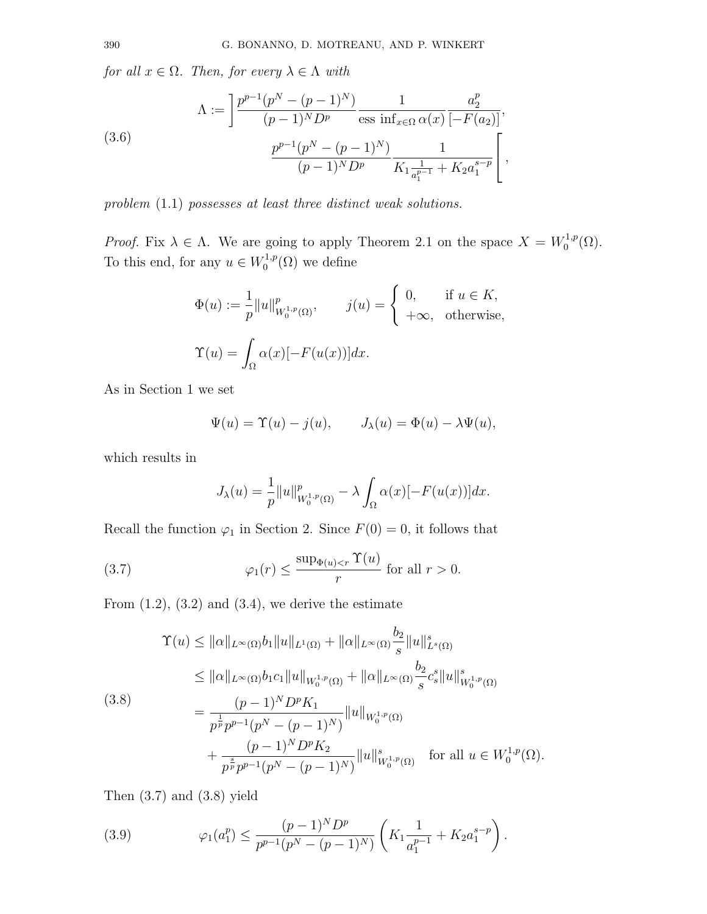for all  $x \in \Omega$ . Then, for every  $\lambda \in \Lambda$  with

(3.6)  

$$
\Lambda := \left[ \frac{p^{p-1}(p^N - (p-1)^N)}{(p-1)^N D^p} \frac{1}{\text{ess inf}_{x \in \Omega} \alpha(x)} \frac{a_2^p}{[-F(a_2)]}, \frac{a_2^p}{(p-1)^N D^p} \frac{1}{K_1 \frac{1}{a_1^{p-1}} + K_2 a_1^{s-p}} \right],
$$

problem (1.1) possesses at least three distinct weak solutions.

*Proof.* Fix  $\lambda \in \Lambda$ . We are going to apply Theorem 2.1 on the space  $X = W_0^{1,p}$  $\mathcal{L}_0^{1,p}(\Omega)$ . To this end, for any  $u \in W_0^{1,p}$  $C^{1,p}_0(\Omega)$  we define

$$
\Phi(u) := \frac{1}{p} ||u||_{W_0^{1,p}(\Omega)}^p, \qquad j(u) = \begin{cases} 0, & \text{if } u \in K, \\ +\infty, & \text{otherwise,} \end{cases}
$$
  

$$
\Upsilon(u) = \int_{\Omega} \alpha(x) [-F(u(x))] dx.
$$

As in Section 1 we set

$$
\Psi(u) = \Upsilon(u) - j(u), \qquad J_{\lambda}(u) = \Phi(u) - \lambda \Psi(u),
$$

which results in

$$
J_{\lambda}(u) = \frac{1}{p} ||u||_{W_0^{1,p}(\Omega)}^p - \lambda \int_{\Omega} \alpha(x) [-F(u(x))] dx.
$$

Recall the function  $\varphi_1$  in Section 2. Since  $F(0) = 0$ , it follows that

(3.7) 
$$
\varphi_1(r) \le \frac{\sup_{\Phi(u) < r} \Upsilon(u)}{r} \text{ for all } r > 0.
$$

From  $(1.2)$ ,  $(3.2)$  and  $(3.4)$ , we derive the estimate

$$
\begin{split}\n\Upsilon(u) &\leq \|\alpha\|_{L^{\infty}(\Omega)} b_1 \|u\|_{L^1(\Omega)} + \|\alpha\|_{L^{\infty}(\Omega)} \frac{b_2}{s} \|u\|_{L^s(\Omega)}^s \\
&\leq \|\alpha\|_{L^{\infty}(\Omega)} b_1 c_1 \|u\|_{W_0^{1,p}(\Omega)} + \|\alpha\|_{L^{\infty}(\Omega)} \frac{b_2}{s} c_s^s \|u\|_{W_0^{1,p}(\Omega)}^s \\
&= \frac{(p-1)^N D^p K_1}{p^{\frac{1}{p}} p^{p-1} (p^N - (p-1)^N)} \|u\|_{W_0^{1,p}(\Omega)} \\
&+ \frac{(p-1)^N D^p K_2}{p^{\frac{s}{p}} p^{p-1} (p^N - (p-1)^N)} \|u\|_{W_0^{1,p}(\Omega)}^s \quad \text{for all } u \in W_0^{1,p}(\Omega).\n\end{split}
$$

Then  $(3.7)$  and  $(3.8)$  yield

(3.9) 
$$
\varphi_1(a_1^p) \leq \frac{(p-1)^N D^p}{p^{p-1}(p^N - (p-1)^N)} \left( K_1 \frac{1}{a_1^{p-1}} + K_2 a_1^{s-p} \right).
$$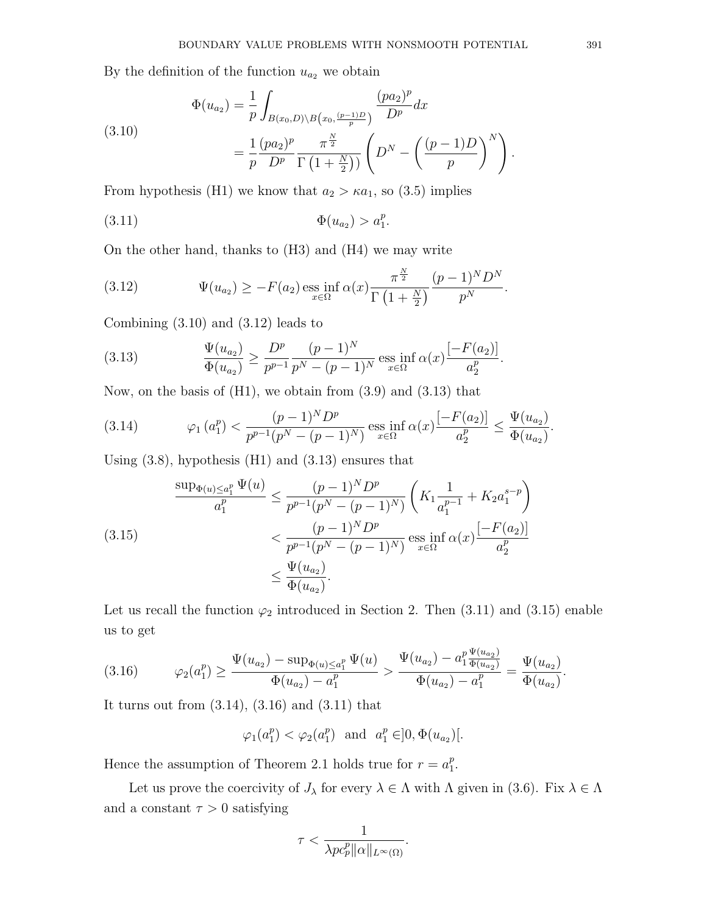By the definition of the function  $u_{a_2}$  we obtain

(3.10)  

$$
\Phi(u_{a_2}) = \frac{1}{p} \int_{B(x_0, D) \backslash B(x_0, \frac{(p-1)D}{p})} \frac{(pa_2)^p}{D^p} dx
$$

$$
= \frac{1}{p} \frac{(pa_2)^p}{D^p} \frac{\pi^{\frac{N}{2}}}{\Gamma(1 + \frac{N}{2}))} \left( D^N - \left( \frac{(p-1)D}{p} \right)^N \right).
$$

From hypothesis (H1) we know that  $a_2 > \kappa a_1$ , so (3.5) implies

(3.11) 
$$
\Phi(u_{a_2}) > a_1^p.
$$

On the other hand, thanks to (H3) and (H4) we may write

(3.12) 
$$
\Psi(u_{a_2}) \geq -F(a_2) \underset{x \in \Omega}{\mathrm{ess}} \inf \alpha(x) \frac{\pi^{\frac{N}{2}}}{\Gamma(\frac{1+\frac{N}{2})}{p}} \frac{(p-1)^N D^N}{p^N}.
$$

Combining (3.10) and (3.12) leads to

(3.13) 
$$
\frac{\Psi(u_{a_2})}{\Phi(u_{a_2})} \ge \frac{D^p}{p^{p-1}} \frac{(p-1)^N}{p^N - (p-1)^N} \operatorname{ess\,inf}_{x \in \Omega} \alpha(x) \frac{[-F(a_2)]}{a_2^p}.
$$

Now, on the basis of (H1), we obtain from (3.9) and (3.13) that

(3.14) 
$$
\varphi_1(a_1^p) < \frac{(p-1)^N D^p}{p^{p-1}(p^N - (p-1)^N)} \operatorname{ess\,inf}_{x \in \Omega} \alpha(x) \frac{[-F(a_2)]}{a_2^p} \le \frac{\Psi(u_{a_2})}{\Phi(u_{a_2})}.
$$

Using  $(3.8)$ , hypothesis  $(H1)$  and  $(3.13)$  ensures that

(3.15) 
$$
\frac{\sup_{\Phi(u) \le a_1^p} \Psi(u)}{a_1^p} \le \frac{(p-1)^N D^p}{p^{p-1}(p^N - (p-1)^N)} \left(K_1 \frac{1}{a_1^{p-1}} + K_2 a_1^{s-p}\right) < \frac{(p-1)^N D^p}{p^{p-1}(p^N - (p-1)^N)} \operatorname{ess\ inf}_{x \in \Omega} \alpha(x) \frac{[-F(a_2)]}{a_2^p} < \frac{\Psi(u_{a_2})}{\Phi(u_{a_2})}.
$$

Let us recall the function  $\varphi_2$  introduced in Section 2. Then (3.11) and (3.15) enable us to get

$$
(3.16) \qquad \varphi_2(a_1^p) \ge \frac{\Psi(u_{a_2}) - \sup_{\Phi(u) \le a_1^p} \Psi(u)}{\Phi(u_{a_2}) - a_1^p} > \frac{\Psi(u_{a_2}) - a_1^p \frac{\Psi(u_{a_2})}{\Phi(u_{a_2})}}{\Phi(u_{a_2}) - a_1^p} = \frac{\Psi(u_{a_2})}{\Phi(u_{a_2})}.
$$

It turns out from  $(3.14)$ ,  $(3.16)$  and  $(3.11)$  that

$$
\varphi_1(a_1^p) < \varphi_2(a_1^p)
$$
 and  $a_1^p \in ]0, \Phi(u_{a_2})[$ .

Hence the assumption of Theorem 2.1 holds true for  $r = a_1^p$  $\frac{p}{1}$ .

Let us prove the coercivity of  $J_\lambda$  for every  $\lambda \in \Lambda$  with  $\Lambda$  given in (3.6). Fix  $\lambda \in \Lambda$ and a constant  $\tau > 0$  satisfying

$$
\tau < \frac{1}{\lambda p c_p^p \|\alpha\|_{L^\infty(\Omega)}}.
$$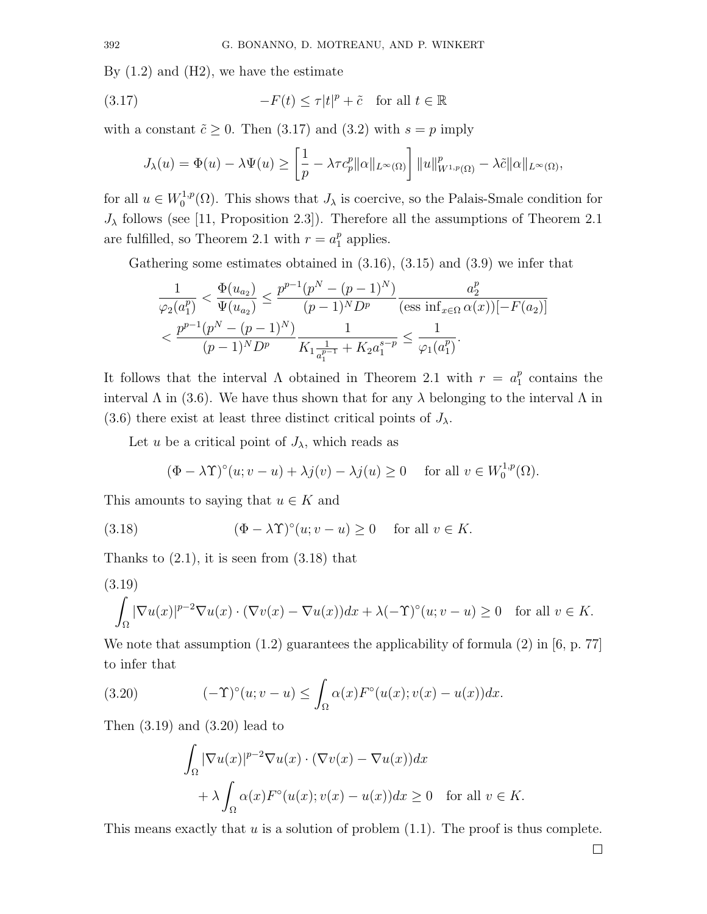By  $(1.2)$  and  $(H2)$ , we have the estimate

(3.17) 
$$
-F(t) \le \tau |t|^p + \tilde{c} \quad \text{for all } t \in \mathbb{R}
$$

with a constant  $\tilde{c} \geq 0$ . Then (3.17) and (3.2) with  $s = p$  imply

$$
J_{\lambda}(u) = \Phi(u) - \lambda \Psi(u) \ge \left[\frac{1}{p} - \lambda \tau c_p^p \|\alpha\|_{L^{\infty}(\Omega)}\right] \|u\|_{W^{1,p}(\Omega)}^p - \lambda \tilde{c}\|\alpha\|_{L^{\infty}(\Omega)},
$$

for all  $u \in W_0^{1,p}$  $U_0^{1,p}(\Omega)$ . This shows that  $J_{\lambda}$  is coercive, so the Palais-Smale condition for  $J_{\lambda}$  follows (see [11, Proposition 2.3]). Therefore all the assumptions of Theorem 2.1 are fulfilled, so Theorem 2.1 with  $r = a_1^p$  $_1^p$  applies.

Gathering some estimates obtained in (3.16), (3.15) and (3.9) we infer that

$$
\frac{1}{\varphi_2(a_1^p)} < \frac{\Phi(u_{a_2})}{\Psi(u_{a_2})} \le \frac{p^{p-1}(p^N - (p-1)^N)}{(p-1)^N D^p} \frac{a_2^p}{(\text{ess inf}_{x \in \Omega} \alpha(x))[-F(a_2)]}
$$
\n
$$
\frac{p^{p-1}(p^N - (p-1)^N)}{(p-1)^N D^p} \frac{1}{K_1 \frac{1}{a_1^{p-1}} + K_2 a_1^{s-p}} \le \frac{1}{\varphi_1(a_1^p)}.
$$

It follows that the interval  $\Lambda$  obtained in Theorem 2.1 with  $r = a_1^p$  $_1^p$  contains the interval  $\Lambda$  in (3.6). We have thus shown that for any  $\lambda$  belonging to the interval  $\Lambda$  in (3.6) there exist at least three distinct critical points of  $J_{\lambda}$ .

Let u be a critical point of  $J_{\lambda}$ , which reads as

$$
(\Phi - \lambda \Upsilon)^{\circ}(u; v - u) + \lambda j(v) - \lambda j(u) \ge 0 \quad \text{ for all } v \in W_0^{1,p}(\Omega).
$$

This amounts to saying that  $u \in K$  and

(3.18) 
$$
(\Phi - \lambda \Upsilon)^{\circ}(u; v - u) \ge 0 \quad \text{for all } v \in K.
$$

Thanks to  $(2.1)$ , it is seen from  $(3.18)$  that

$$
(3.19)
$$

$$
\int_{\Omega} |\nabla u(x)|^{p-2} \nabla u(x) \cdot (\nabla v(x) - \nabla u(x)) dx + \lambda (-\Upsilon)^{\circ} (u; v - u) \ge 0 \quad \text{for all } v \in K.
$$

We note that assumption  $(1.2)$  guarantees the applicability of formula  $(2)$  in [6, p. 77] to infer that

(3.20) 
$$
(-\Upsilon)^{\circ}(u;v-u) \leq \int_{\Omega} \alpha(x) F^{\circ}(u(x);v(x)-u(x)) dx.
$$

Then (3.19) and (3.20) lead to

$$
\int_{\Omega} |\nabla u(x)|^{p-2} \nabla u(x) \cdot (\nabla v(x) - \nabla u(x)) dx
$$
  
+  $\lambda \int_{\Omega} \alpha(x) F^{\circ}(u(x); v(x) - u(x)) dx \ge 0 \text{ for all } v \in K.$ 

This means exactly that  $u$  is a solution of problem  $(1.1)$ . The proof is thus complete.

 $\Box$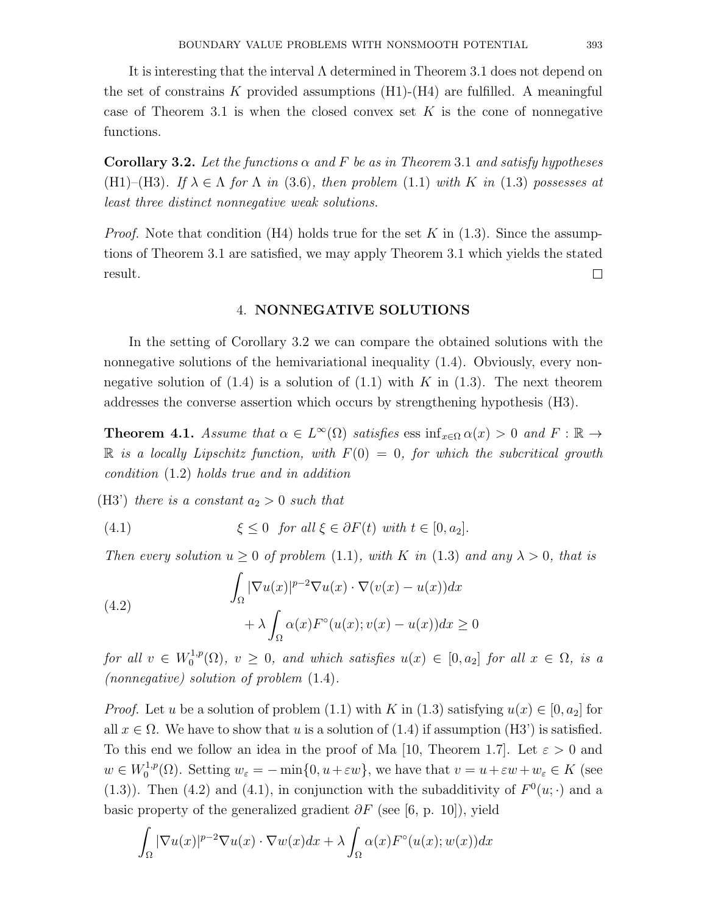It is interesting that the interval  $\Lambda$  determined in Theorem 3.1 does not depend on the set of constrains K provided assumptions  $(H1)-(H4)$  are fulfilled. A meaningful case of Theorem 3.1 is when the closed convex set K is the cone of nonnegative functions.

**Corollary 3.2.** Let the functions  $\alpha$  and F be as in Theorem 3.1 and satisfy hypotheses (H1)–(H3). If  $\lambda \in \Lambda$  for  $\Lambda$  in (3.6), then problem (1.1) with K in (1.3) possesses at least three distinct nonnegative weak solutions.

*Proof.* Note that condition (H4) holds true for the set K in  $(1.3)$ . Since the assumptions of Theorem 3.1 are satisfied, we may apply Theorem 3.1 which yields the stated result.  $\Box$ 

# 4. NONNEGATIVE SOLUTIONS

In the setting of Corollary 3.2 we can compare the obtained solutions with the nonnegative solutions of the hemivariational inequality (1.4). Obviously, every nonnegative solution of  $(1.4)$  is a solution of  $(1.1)$  with K in  $(1.3)$ . The next theorem addresses the converse assertion which occurs by strengthening hypothesis (H3).

**Theorem 4.1.** Assume that  $\alpha \in L^{\infty}(\Omega)$  satisfies ess  $\inf_{x \in \Omega} \alpha(x) > 0$  and  $F : \mathbb{R} \to$  $\mathbb R$  is a locally Lipschitz function, with  $F(0) = 0$ , for which the subcritical growth condition (1.2) holds true and in addition

(H3') there is a constant  $a_2 > 0$  such that

(4.1) 
$$
\xi \leq 0 \quad \text{for all } \xi \in \partial F(t) \text{ with } t \in [0, a_2].
$$

Then every solution  $u > 0$  of problem (1.1), with K in (1.3) and any  $\lambda > 0$ , that is

(4.2)  

$$
\int_{\Omega} |\nabla u(x)|^{p-2} \nabla u(x) \cdot \nabla (v(x) - u(x)) dx
$$

$$
+ \lambda \int_{\Omega} \alpha(x) F^{\circ}(u(x); v(x) - u(x)) dx \ge 0
$$

for all  $v \in W_0^{1,p}$  $C_0^{1,p}(\Omega)$ ,  $v \geq 0$ , and which satisfies  $u(x) \in [0, a_2]$  for all  $x \in \Omega$ , is a (nonnegative) solution of problem (1.4).

*Proof.* Let u be a solution of problem (1.1) with K in (1.3) satisfying  $u(x) \in [0, a_2]$  for all  $x \in \Omega$ . We have to show that u is a solution of (1.4) if assumption (H3') is satisfied. To this end we follow an idea in the proof of Ma [10, Theorem 1.7]. Let  $\varepsilon > 0$  and  $w \in W_0^{1,p}$ <sup>1,p</sup>( $\Omega$ ). Setting  $w_{\varepsilon} = -\min\{0, u + \varepsilon w\}$ , we have that  $v = u + \varepsilon w + w_{\varepsilon} \in K$  (see (1.3)). Then (4.2) and (4.1), in conjunction with the subadditivity of  $F^0(u; \cdot)$  and a basic property of the generalized gradient  $\partial F$  (see [6, p. 10]), yield

$$
\int_{\Omega} |\nabla u(x)|^{p-2} \nabla u(x) \cdot \nabla w(x) dx + \lambda \int_{\Omega} \alpha(x) F^{\circ}(u(x); w(x)) dx
$$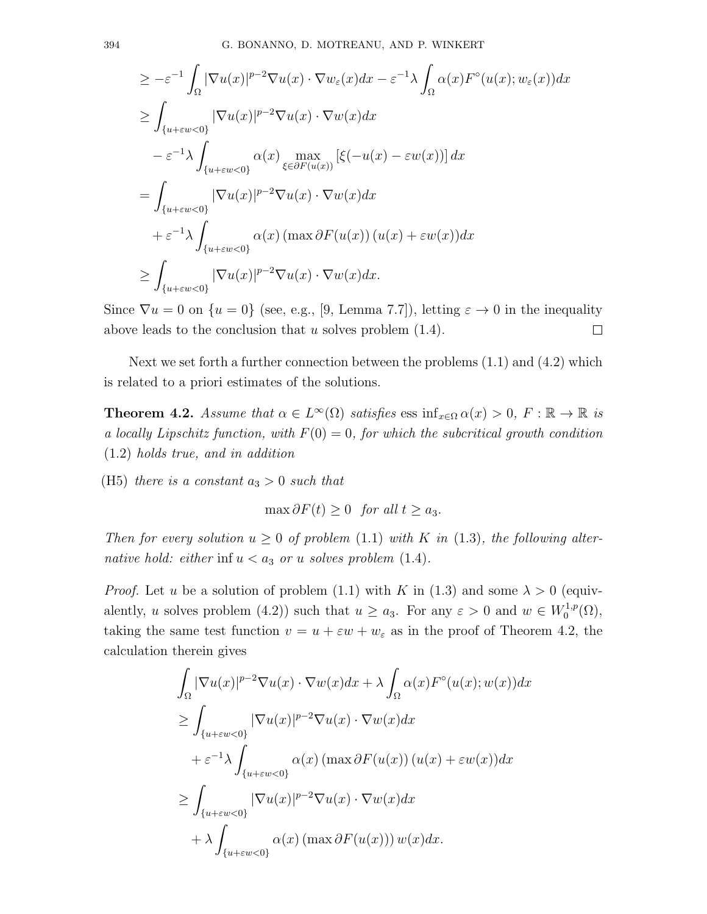$$
\geq -\varepsilon^{-1} \int_{\Omega} |\nabla u(x)|^{p-2} \nabla u(x) \cdot \nabla w_{\varepsilon}(x) dx - \varepsilon^{-1} \lambda \int_{\Omega} \alpha(x) F^{\circ}(u(x); w_{\varepsilon}(x)) dx
$$
  
\n
$$
\geq \int_{\{u + \varepsilon w < 0\}} |\nabla u(x)|^{p-2} \nabla u(x) \cdot \nabla w(x) dx
$$
  
\n
$$
- \varepsilon^{-1} \lambda \int_{\{u + \varepsilon w < 0\}} \alpha(x) \max_{\xi \in \partial F(u(x))} [\xi(-u(x) - \varepsilon w(x))] dx
$$
  
\n
$$
= \int_{\{u + \varepsilon w < 0\}} |\nabla u(x)|^{p-2} \nabla u(x) \cdot \nabla w(x) dx
$$
  
\n
$$
+ \varepsilon^{-1} \lambda \int_{\{u + \varepsilon w < 0\}} \alpha(x) (\max \partial F(u(x)) (u(x) + \varepsilon w(x)) dx
$$
  
\n
$$
\geq \int_{\{u + \varepsilon w < 0\}} |\nabla u(x)|^{p-2} \nabla u(x) \cdot \nabla w(x) dx.
$$

Since  $\nabla u = 0$  on  $\{u = 0\}$  (see, e.g., [9, Lemma 7.7]), letting  $\varepsilon \to 0$  in the inequality above leads to the conclusion that  $u$  solves problem  $(1.4)$ .  $\Box$ 

Next we set forth a further connection between the problems  $(1.1)$  and  $(4.2)$  which is related to a priori estimates of the solutions.

**Theorem 4.2.** Assume that  $\alpha \in L^{\infty}(\Omega)$  satisfies ess  $\inf_{x \in \Omega} \alpha(x) > 0$ ,  $F : \mathbb{R} \to \mathbb{R}$  is a locally Lipschitz function, with  $F(0) = 0$ , for which the subcritical growth condition (1.2) holds true, and in addition

(H5) there is a constant  $a_3 > 0$  such that

$$
\max \partial F(t) \ge 0 \quad \text{for all } t \ge a_3.
$$

Then for every solution  $u \geq 0$  of problem (1.1) with K in (1.3), the following alternative hold: either inf  $u < a_3$  or u solves problem (1.4).

*Proof.* Let u be a solution of problem (1.1) with K in (1.3) and some  $\lambda > 0$  (equivalently, u solves problem (4.2)) such that  $u \ge a_3$ . For any  $\varepsilon > 0$  and  $w \in W_0^{1,p}$  $\mathfrak{a}^{1,p}_0(\Omega),$ taking the same test function  $v = u + \varepsilon w + w_{\varepsilon}$  as in the proof of Theorem 4.2, the calculation therein gives

$$
\int_{\Omega} |\nabla u(x)|^{p-2} \nabla u(x) \cdot \nabla w(x) dx + \lambda \int_{\Omega} \alpha(x) F^{\circ}(u(x); w(x)) dx
$$
  
\n
$$
\geq \int_{\{u + \varepsilon w < 0\}} |\nabla u(x)|^{p-2} \nabla u(x) \cdot \nabla w(x) dx
$$
  
\n
$$
+ \varepsilon^{-1} \lambda \int_{\{u + \varepsilon w < 0\}} \alpha(x) (\max \partial F(u(x)) (u(x) + \varepsilon w(x)) dx
$$
  
\n
$$
\geq \int_{\{u + \varepsilon w < 0\}} |\nabla u(x)|^{p-2} \nabla u(x) \cdot \nabla w(x) dx
$$
  
\n
$$
+ \lambda \int_{\{u + \varepsilon w < 0\}} \alpha(x) (\max \partial F(u(x))) w(x) dx.
$$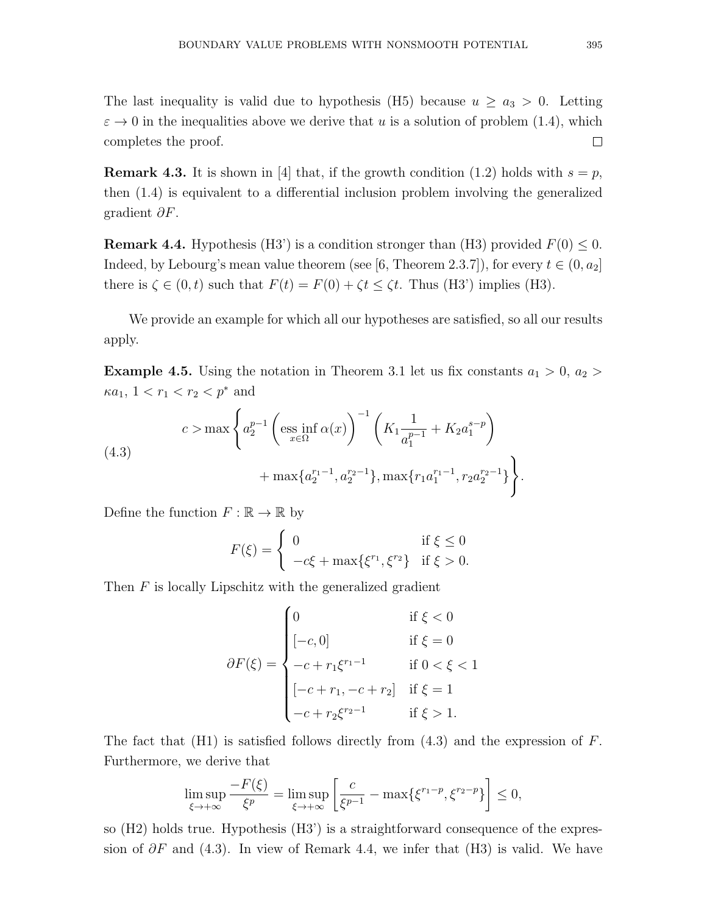The last inequality is valid due to hypothesis (H5) because  $u \ge a_3 > 0$ . Letting  $\varepsilon \to 0$  in the inequalities above we derive that u is a solution of problem (1.4), which  $\Box$ completes the proof.

**Remark 4.3.** It is shown in [4] that, if the growth condition (1.2) holds with  $s = p$ , then (1.4) is equivalent to a differential inclusion problem involving the generalized gradient  $\partial F$ .

**Remark 4.4.** Hypothesis (H3') is a condition stronger than (H3) provided  $F(0) \le 0$ . Indeed, by Lebourg's mean value theorem (see [6, Theorem 2.3.7]), for every  $t \in (0, a_2]$ there is  $\zeta \in (0, t)$  such that  $F(t) = F(0) + \zeta t \leq \zeta t$ . Thus (H3') implies (H3).

We provide an example for which all our hypotheses are satisfied, so all our results apply.

**Example 4.5.** Using the notation in Theorem 3.1 let us fix constants  $a_1 > 0$ ,  $a_2 >$  $\kappa a_1, 1 < r_1 < r_2 < p^*$  and

(4.3) 
$$
c > \max \left\{ a_2^{p-1} \left( \underset{x \in \Omega}{\text{ess inf }} \alpha(x) \right)^{-1} \left( K_1 \frac{1}{a_1^{p-1}} + K_2 a_1^{s-p} \right) + \max \{ a_2^{r_1-1}, a_2^{r_2-1} \}, \max \{ r_1 a_1^{r_1-1}, r_2 a_2^{r_2-1} \} \right\}.
$$

Define the function  $F : \mathbb{R} \to \mathbb{R}$  by

$$
F(\xi) = \begin{cases} 0 & \text{if } \xi \le 0\\ -c\xi + \max{\xi^{r_1}, \xi^{r_2}} & \text{if } \xi > 0. \end{cases}
$$

Then  $F$  is locally Lipschitz with the generalized gradient

$$
\partial F(\xi) = \begin{cases}\n0 & \text{if } \xi < 0 \\
[-c, 0] & \text{if } \xi = 0 \\
-c + r_1 \xi^{r_1 - 1} & \text{if } 0 < \xi < 1 \\
[-c + r_1, -c + r_2] & \text{if } \xi = 1 \\
-c + r_2 \xi^{r_2 - 1} & \text{if } \xi > 1.\n\end{cases}
$$

The fact that  $(H1)$  is satisfied follows directly from  $(4.3)$  and the expression of F. Furthermore, we derive that

$$
\limsup_{\xi \to +\infty} \frac{-F(\xi)}{\xi^p} = \limsup_{\xi \to +\infty} \left[ \frac{c}{\xi^{p-1}} - \max\{\xi^{r_1-p}, \xi^{r_2-p}\} \right] \le 0,
$$

so (H2) holds true. Hypothesis (H3') is a straightforward consequence of the expression of  $\partial F$  and (4.3). In view of Remark 4.4, we infer that (H3) is valid. We have